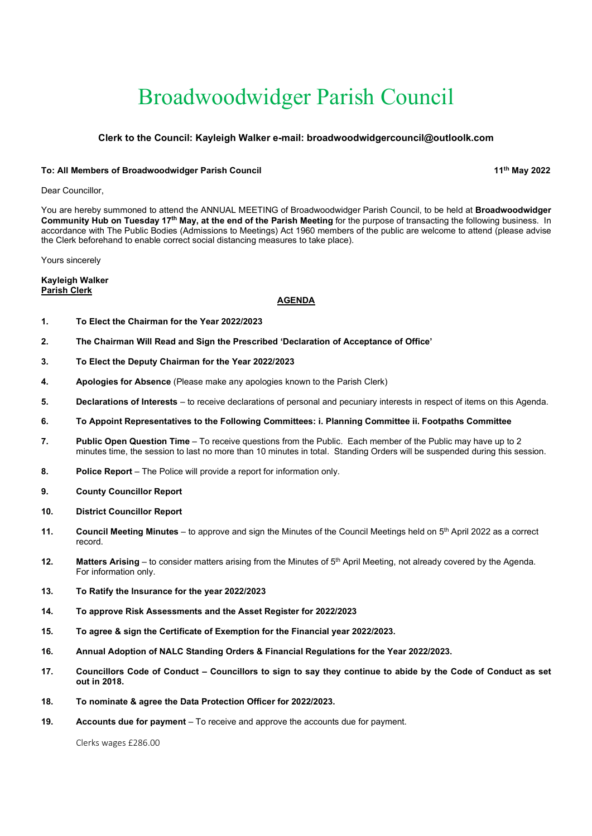# Broadwoodwidger Parish Council

# Clerk to the Council: Kayleigh Walker e-mail: broadwoodwidgercouncil@outloolk.com

#### To: All Members of Broadwoodwidger Parish Council 11th May 2022 11th May 2022

Dear Councillor,

You are hereby summoned to attend the ANNUAL MEETING of Broadwoodwidger Parish Council, to be held at **Broadwoodwidger** Community Hub on Tuesday 17<sup>th</sup> May, at the end of the Parish Meeting for the purpose of transacting the following business. In accordance with The Public Bodies (Admissions to Meetings) Act 1960 members of the public are welcome to attend (please advise the Clerk beforehand to enable correct social distancing measures to take place).

Yours sincerely

Kayleigh Walker Parish Clerk

## AGENDA

- 1. To Elect the Chairman for the Year 2022/2023
- 2. The Chairman Will Read and Sign the Prescribed 'Declaration of Acceptance of Office'
- 3. To Elect the Deputy Chairman for the Year 2022/2023
- 4. Apologies for Absence (Please make any apologies known to the Parish Clerk)
- 5. Declarations of Interests to receive declarations of personal and pecuniary interests in respect of items on this Agenda.
- 6. To Appoint Representatives to the Following Committees: i. Planning Committee ii. Footpaths Committee
- 7. Public Open Question Time To receive questions from the Public. Each member of the Public may have up to 2 minutes time, the session to last no more than 10 minutes in total. Standing Orders will be suspended during this session.
- 8. Police Report The Police will provide a report for information only.
- 9. County Councillor Report
- 10. District Councillor Report
- 11. Council Meeting Minutes to approve and sign the Minutes of the Council Meetings held on 5<sup>th</sup> April 2022 as a correct record.
- 12. Matters Arising to consider matters arising from the Minutes of  $5<sup>th</sup>$  April Meeting, not already covered by the Agenda. For information only.
- 13. To Ratify the Insurance for the year 2022/2023
- 14. To approve Risk Assessments and the Asset Register for 2022/2023
- 15. To agree & sign the Certificate of Exemption for the Financial year 2022/2023.
- 16. Annual Adoption of NALC Standing Orders & Financial Regulations for the Year 2022/2023.
- 17. Councillors Code of Conduct Councillors to sign to say they continue to abide by the Code of Conduct as set out in 2018.
- 18. To nominate & agree the Data Protection Officer for 2022/2023.
- 19. Accounts due for payment To receive and approve the accounts due for payment.

Clerks wages £286.00